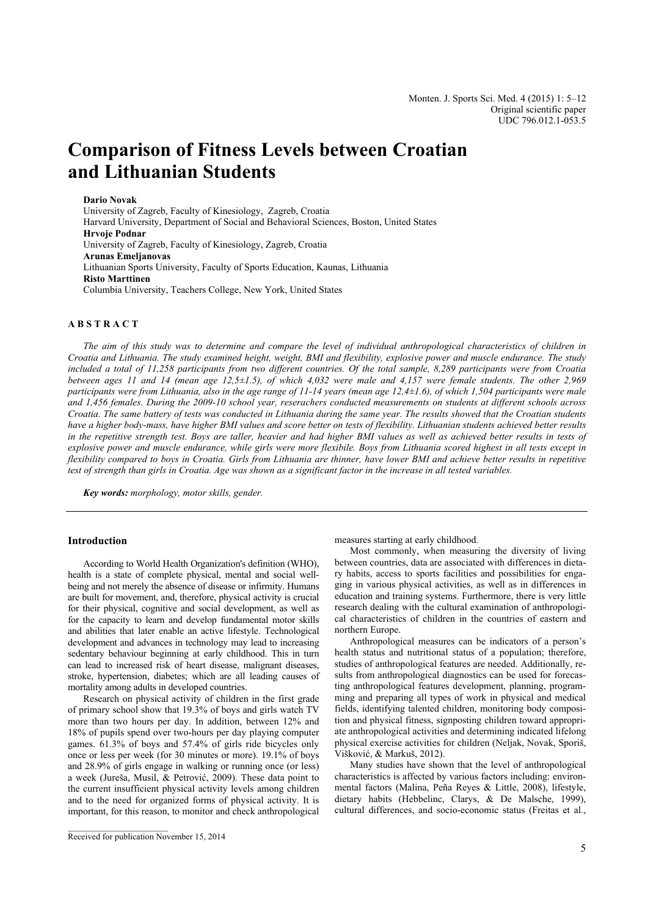# **Comparison of Fitness Levels between Croatian and Lithuanian Students**

**Dario Novak** 

University of Zagreb, Faculty of Kinesiology, Zagreb, Croatia Harvard University, Department of Social and Behavioral Sciences, Boston, United States **Hrvoje Podnar**  University of Zagreb, Faculty of Kinesiology, Zagreb, Croatia **Arunas Emeljanovas**  Lithuanian Sports University, Faculty of Sports Education, Kaunas, Lithuania **Risto Marttinen**  Columbia University, Teachers College, New York, United States

#### **A B S T R A C T**

*The aim of this study was to determine and compare the level of individual anthropological characteristics of children in Croatia and Lithuania. The study examined height, weight, BMI and flexibility, explosive power and muscle endurance. The study included a total of 11,258 participants from two different countries. Of the total sample, 8,289 participants were from Croatia between ages 11 and 14 (mean age 12,5±1.5), of which 4,032 were male and 4,157 were female students. The other 2,969 participants were from Lithuania, also in the age range of 11-14 years (mean age 12,4±1.6), of which 1,504 participants were male and 1,456 females. During the 2009-10 school year, reserachers conducted measurements on students at different schools across Croatia. The same battery of tests was conducted in Lithuania during the same year. The results showed that the Croatian students have a higher body-mass, have higher BMI values and score better on tests of flexibility. Lithuanian students achieved better results in the repetitive strength test. Boys are taller, heavier and had higher BMI values as well as achieved better results in tests of explosive power and muscle endurance, while girls were more flexibile. Boys from Lithuania scored highest in all tests except in flexibility compared to boys in Croatia. Girls from Lithuania are thinner, have lower BMI and achieve better results in repetitive test of strength than girls in Croatia. Age was shown as a significant factor in the increase in all tested variables.* 

*Key words: morphology, motor skills, gender.* 

## **Introduction**

According to World Health Organization's definition (WHO), health is a state of complete physical, mental and social wellbeing and not merely the absence of disease or infirmity. Humans are built for movement, and, therefore, physical activity is crucial for their physical, cognitive and social development, as well as for the capacity to learn and develop fundamental motor skills and abilities that later enable an active lifestyle. Technological development and advances in technology may lead to increasing sedentary behaviour beginning at early childhood. This in turn can lead to increased risk of heart disease, malignant diseases, stroke, hypertension, diabetes; which are all leading causes of mortality among adults in developed countries.

Research on physical activity of children in the first grade of primary school show that 19.3% of boys and girls watch TV more than two hours per day. In addition, between 12% and 18% of pupils spend over two-hours per day playing computer games. 61.3% of boys and 57.4% of girls ride bicycles only once or less per week (for 30 minutes or more). 19.1% of boys and 28.9% of girls engage in walking or running once (or less) a week (Jureša, Musil, & Petrović, 2009). These data point to the current insufficient physical activity levels among children and to the need for organized forms of physical activity. It is important, for this reason, to monitor and check anthropological

\_\_\_\_\_\_\_\_\_\_\_\_\_\_\_\_\_\_\_\_\_\_\_

measures starting at early childhood.

Most commonly, when measuring the diversity of living between countries, data are associated with differences in dietary habits, access to sports facilities and possibilities for engaging in various physical activities, as well as in differences in education and training systems. Furthermore, there is very little research dealing with the cultural examination of anthropological characteristics of children in the countries of eastern and northern Europe.

Anthropological measures can be indicators of a person's health status and nutritional status of a population; therefore, studies of anthropological features are needed. Additionally, results from anthropological diagnostics can be used for forecasting anthropological features development, planning, programming and preparing all types of work in physical and medical fields, identifying talented children, monitoring body composition and physical fitness, signposting children toward appropriate anthropological activities and determining indicated lifelong physical exercise activities for children (Neljak, Novak, Sporiš, Višković, & Markuš, 2012).

Many studies have shown that the level of anthropological characteristics is affected by various factors including: environmental factors (Malina, Peña Reyes & Little, 2008), lifestyle, dietary habits (Hebbelinc, Clarys, & De Malsche, 1999), cultural differences, and socio-economic status (Freitas et al.,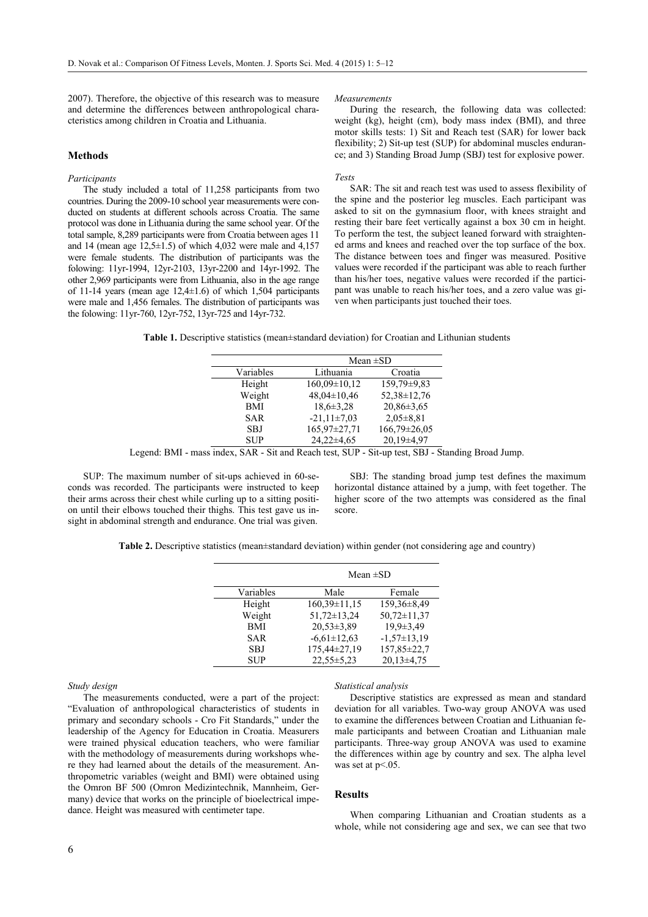2007). Therefore, the objective of this research was to measure and determine the differences between anthropological characteristics among children in Croatia and Lithuania.

# **Methods**

## *Participants*

The study included a total of 11,258 participants from two countries. During the 2009-10 school year measurements were conducted on students at different schools across Croatia. The same protocol was done in Lithuania during the same school year. Of the total sample, 8,289 participants were from Croatia between ages 11 and 14 (mean age  $12,5\pm1.5$ ) of which 4,032 were male and 4,157 were female students. The distribution of participants was the folowing: 11yr-1994, 12yr-2103, 13yr-2200 and 14yr-1992. The other 2,969 participants were from Lithuania, also in the age range of 11-14 years (mean age 12,4±1.6) of which 1,504 participants were male and 1,456 females. The distribution of participants was the folowing: 11yr-760, 12yr-752, 13yr-725 and 14yr-732.

#### *Measurements*

During the research, the following data was collected: weight (kg), height (cm), body mass index (BMI), and three motor skills tests: 1) Sit and Reach test (SAR) for lower back flexibility; 2) Sit-up test (SUP) for abdominal muscles endurance; and 3) Standing Broad Jump (SBJ) test for explosive power.

#### *Tests*

SAR: The sit and reach test was used to assess flexibility of the spine and the posterior leg muscles. Each participant was asked to sit on the gymnasium floor, with knees straight and resting their bare feet vertically against a box 30 cm in height. To perform the test, the subject leaned forward with straightened arms and knees and reached over the top surface of the box. The distance between toes and finger was measured. Positive values were recorded if the participant was able to reach further than his/her toes, negative values were recorded if the participant was unable to reach his/her toes, and a zero value was given when participants just touched their toes.

**Table 1.** Descriptive statistics (mean±standard deviation) for Croatian and Lithunian students

|            | Mean $\pm SD$                  |                  |  |  |
|------------|--------------------------------|------------------|--|--|
| Variables  | Lithuania<br>Croatia           |                  |  |  |
| Height     | $160,09\pm10,12$               | 159,79±9,83      |  |  |
| Weight     | 52,38±12,76<br>$48,04\pm10,46$ |                  |  |  |
| <b>BMI</b> | $18,6 \pm 3,28$                | $20.86 \pm 3.65$ |  |  |
| <b>SAR</b> | $-21,11\pm7,03$                | $2.05 \pm 8.81$  |  |  |
| <b>SBJ</b> | 165,97±27,71                   | 166,79±26,05     |  |  |
| <b>SUP</b> | $24,22\pm4,65$                 | $20.19 \pm 4.97$ |  |  |

Legend: BMI - mass index, SAR - Sit and Reach test, SUP - Sit-up test, SBJ - Standing Broad Jump.

SUP: The maximum number of sit-ups achieved in 60-seconds was recorded. The participants were instructed to keep their arms across their chest while curling up to a sitting position until their elbows touched their thighs. This test gave us insight in abdominal strength and endurance. One trial was given.

SBJ: The standing broad jump test defines the maximum horizontal distance attained by a jump, with feet together. The higher score of the two attempts was considered as the final score.

**Table 2.** Descriptive statistics (mean±standard deviation) within gender (not considering age and country)

|            | Mean $\pm SD$     |                   |  |  |  |
|------------|-------------------|-------------------|--|--|--|
| Variables  | Male              | Female            |  |  |  |
| Height     | $160,39\pm11,15$  | 159,36±8,49       |  |  |  |
| Weight     | $51,72 \pm 13,24$ | $50,72 \pm 11,37$ |  |  |  |
| <b>BMI</b> | $20.53 \pm 3.89$  | $19.9 \pm 3.49$   |  |  |  |
| <b>SAR</b> | $-6,61 \pm 12,63$ | $-1,57\pm13,19$   |  |  |  |
| <b>SBJ</b> | 175,44±27,19      | 157,85±22,7       |  |  |  |
| <b>SUP</b> | $22.55 \pm 5.23$  | $20.13 \pm 4.75$  |  |  |  |

*Study design* 

The measurements conducted, were a part of the project: "Evaluation of anthropological characteristics of students in primary and secondary schools - Cro Fit Standards," under the leadership of the Agency for Education in Croatia. Measurers were trained physical education teachers, who were familiar with the methodology of measurements during workshops where they had learned about the details of the measurement. Anthropometric variables (weight and BMI) were obtained using the Omron BF 500 (Omron Medizintechnik, Mannheim, Germany) device that works on the principle of bioelectrical impedance. Height was measured with centimeter tape.

#### *Statistical analysis*

Descriptive statistics are expressed as mean and standard deviation for all variables. Two-way group ANOVA was used to examine the differences between Croatian and Lithuanian female participants and between Croatian and Lithuanian male participants. Three-way group ANOVA was used to examine the differences within age by country and sex. The alpha level was set at  $p<.05$ .

#### **Results**

When comparing Lithuanian and Croatian students as a whole, while not considering age and sex, we can see that two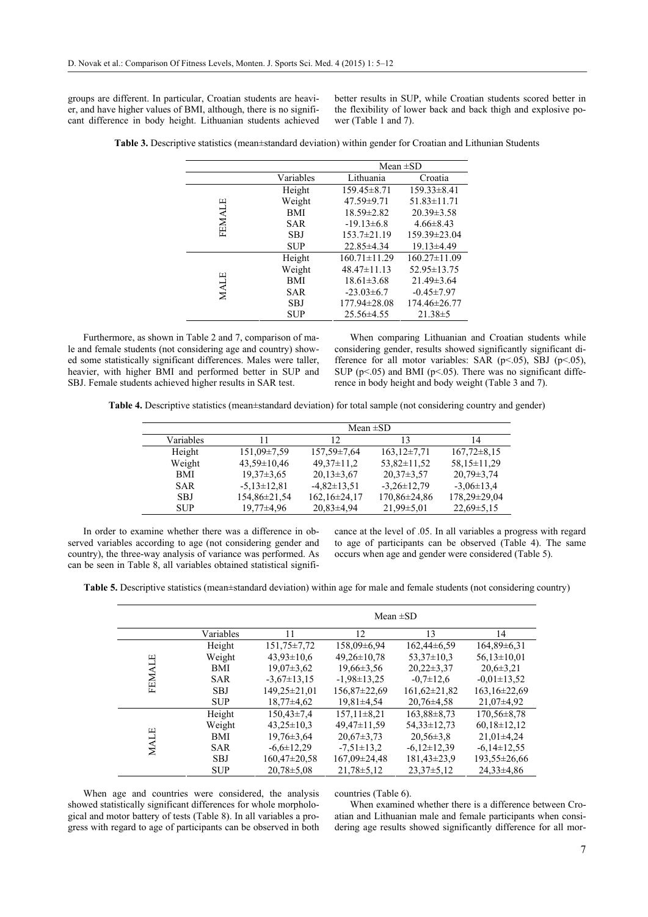groups are different. In particular, Croatian students are heavier, and have higher values of BMI, although, there is no significant difference in body height. Lithuanian students achieved better results in SUP, while Croatian students scored better in the flexibility of lower back and back thigh and explosive power (Table 1 and 7).

| <b>Table 3.</b> Descriptive statistics (mean±standard deviation) within gender for Croatian and Lithunian Students |  |  |  |  |  |
|--------------------------------------------------------------------------------------------------------------------|--|--|--|--|--|
|--------------------------------------------------------------------------------------------------------------------|--|--|--|--|--|

|        |            | Mean $\pm SD$      |                    |  |  |
|--------|------------|--------------------|--------------------|--|--|
|        | Variables  | Lithuania          | Croatia            |  |  |
|        | Height     | $159.45 \pm 8.71$  | $159.33 \pm 8.41$  |  |  |
|        | Weight     | $47.59 \pm 9.71$   | $51.83 \pm 11.71$  |  |  |
|        | BMI        | 18.59±2.82         | $20.39 \pm 3.58$   |  |  |
| FEMALE | <b>SAR</b> | $-19.13\pm6.8$     | $4.66 \pm 8.43$    |  |  |
|        | <b>SBJ</b> | $153.7 \pm 21.19$  | 159.39±23.04       |  |  |
|        | <b>SUP</b> | 22.85±4.34         | $19.13 \pm 4.49$   |  |  |
|        | Height     | $160.71 \pm 11.29$ | $160.27 \pm 11.09$ |  |  |
|        | Weight     | $48.47 \pm 11.13$  | 52.95 ± 13.75      |  |  |
| MALE   | <b>BMI</b> | $18.61 \pm 3.68$   | $21.49 \pm 3.64$   |  |  |
|        | <b>SAR</b> | $-23.03\pm 6.7$    | $-0.45 \pm 7.97$   |  |  |
|        | <b>SBJ</b> | 177.94±28.08       | 174.46±26.77       |  |  |
|        | <b>SUP</b> | $25.56\pm4.55$     | $21.38 \pm 5$      |  |  |

Furthermore, as shown in Table 2 and 7, comparison of male and female students (not considering age and country) showed some statistically significant differences. Males were taller, heavier, with higher BMI and performed better in SUP and SBJ. Female students achieved higher results in SAR test.

When comparing Lithuanian and Croatian students while considering gender, results showed significantly significant difference for all motor variables: SAR ( $p<.05$ ), SBJ ( $p<.05$ ), SUP ( $p$ <.05) and BMI ( $p$ <.05). There was no significant difference in body height and body weight (Table 3 and 7).

**Table 4.** Descriptive statistics (mean±standard deviation) for total sample (not considering country and gender)

|            | Mean $\pm SD$     |                   |                   |                  |  |  |
|------------|-------------------|-------------------|-------------------|------------------|--|--|
| Variables  | 11                | $\overline{12}$   | 13                | 14               |  |  |
| Height     | $151,09\pm7,59$   | $157.59 \pm 7.64$ | $163,12\pm7,71$   | $167,72\pm8,15$  |  |  |
| Weight     | $43.59 \pm 10.46$ | $49.37 \pm 11.2$  | $53,82 \pm 11,52$ | 58,15±11,29      |  |  |
| <b>BMI</b> | $19.37 \pm 3.65$  | $20.13 \pm 3.67$  | $20.37 \pm 3.57$  | $20.79 \pm 3.74$ |  |  |
| <b>SAR</b> | $-5,13\pm12,81$   | $-4,82 \pm 13,51$ | $-3,26\pm 12,79$  | $-3.06 \pm 13.4$ |  |  |
| SBJ        | 154,86±21,54      | 162,16±24,17      | 170,86±24,86      | 178,29±29,04     |  |  |
| <b>SUP</b> | $19,77\pm4,96$    | $20.83 \pm 4.94$  | $21,99\pm5,01$    | $22,69 \pm 5,15$ |  |  |
|            |                   |                   |                   |                  |  |  |

In order to examine whether there was a difference in observed variables according to age (not considering gender and country), the three-way analysis of variance was performed. As can be seen in Table 8, all variables obtained statistical significance at the level of .05. In all variables a progress with regard to age of participants can be observed (Table 4). The same occurs when age and gender were considered (Table 5).

**Table 5.** Descriptive statistics (mean±standard deviation) within age for male and female students (not considering country)

|               | Mean $\pm SD$ |                   |                   |                   |                   |
|---------------|---------------|-------------------|-------------------|-------------------|-------------------|
|               | Variables     | 11                | 12                | 13                | 14                |
|               | Height        | $151.75 \pm 7.72$ | $158,09\pm6.94$   | $162,44\pm 6,59$  | 164,89±6,31       |
|               | Weight        | $43.93 \pm 10.6$  | $49,26 \pm 10,78$ | $53.37 \pm 10.3$  | $56,13\pm10,01$   |
|               | <b>BMI</b>    | $19.07 \pm 3.62$  | $19.66 \pm 3.56$  | $20.22 \pm 3.37$  | $20,6 \pm 3,21$   |
| <b>FEMALE</b> | <b>SAR</b>    | $-3.67 \pm 13.15$ | $-1,98 \pm 13,25$ | $-0.7 \pm 12.6$   | $-0.01 \pm 13.52$ |
|               | <b>SBJ</b>    | 149,25±21,01      | 156,87±22,69      | $161,62\pm21,82$  | 163,16±22,69      |
|               | <b>SUP</b>    | $18.77 \pm 4.62$  | $19,81\pm4,54$    | $20.76 \pm 4.58$  | $21,07\pm4,92$    |
|               | Height        | $150,43\pm7,4$    | $157, 11\pm8, 21$ | $163,88\pm8,73$   | $170,56 \pm 8,78$ |
|               | Weight        | $43.25 \pm 10.3$  | 49,47±11,59       | $54.33 \pm 12.73$ | $60,18\pm12,12$   |
|               | <b>BMI</b>    | $19,76 \pm 3,64$  | $20.67 \pm 3.73$  | $20.56 \pm 3.8$   | $21,01\pm4,24$    |
| MALE          | <b>SAR</b>    | $-6,6 \pm 12,29$  | $-7,51 \pm 13,2$  | $-6,12\pm12,39$   | $-6,14\pm 12,55$  |
|               | <b>SBJ</b>    | 160.47±20.58      | 167,09±24,48      | 181,43±23,9       | 193,55±26,66      |
|               | <b>SUP</b>    | $20.78 \pm 5.08$  | $21,78 \pm 5,12$  | $23.37 \pm 5.12$  | $24.33 \pm 4.86$  |

When age and countries were considered, the analysis showed statistically significant differences for whole morphological and motor battery of tests (Table 8). In all variables a progress with regard to age of participants can be observed in both countries (Table 6).

When examined whether there is a difference between Croatian and Lithuanian male and female participants when considering age results showed significantly difference for all mor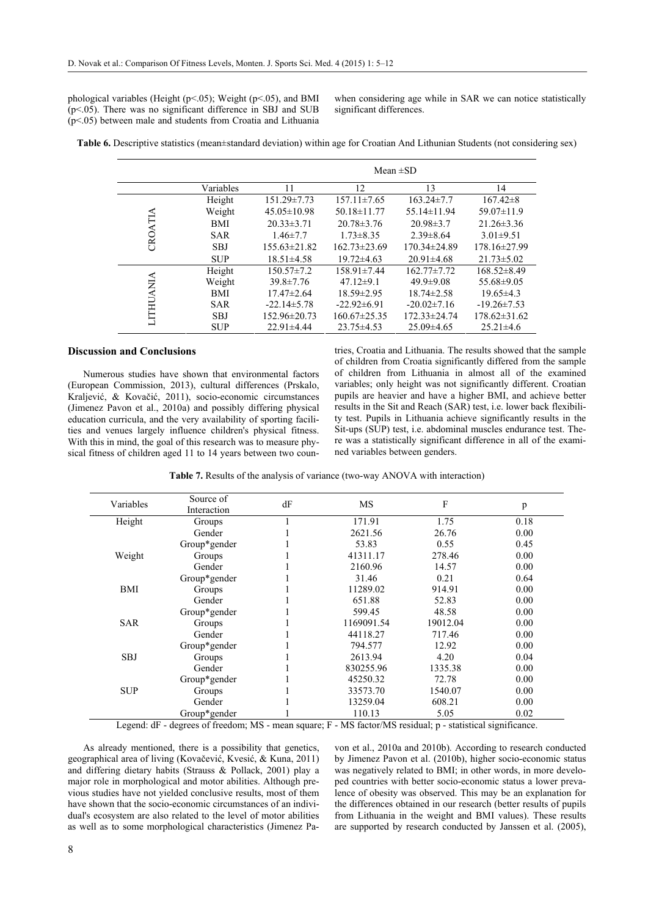phological variables (Height ( $p \le 0.05$ ); Weight ( $p \le 0.05$ ), and BMI (p<.05). There was no significant difference in SBJ and SUB (p<.05) between male and students from Croatia and Lithuania when considering age while in SAR we can notice statistically significant differences.

**Table 6.** Descriptive statistics (mean±standard deviation) within age for Croatian And Lithunian Students (not considering sex)

|           |            | Mean $\pm SD$     |                    |                   |                   |
|-----------|------------|-------------------|--------------------|-------------------|-------------------|
|           | Variables  | 11                | 12                 | 13                | 14                |
|           | Height     | $151.29 \pm 7.73$ | $157.11 \pm 7.65$  | $163.24 \pm 7.7$  | $167.42 \pm 8$    |
|           | Weight     | $45.05 \pm 10.98$ | $50.18 \pm 11.77$  | $55.14 \pm 11.94$ | $59.07 \pm 11.9$  |
|           | BMI        | $20.33 \pm 3.71$  | $20.78 \pm 3.76$   | $20.98\pm3.7$     | $21.26 \pm 3.36$  |
| CROATIA   | <b>SAR</b> | $1.46 \pm 7.7$    | $1.73 \pm 8.35$    | $2.39\pm8.64$     | $3.01 \pm 9.51$   |
|           | <b>SBJ</b> | $155.63\pm21.82$  | $162.73\pm23.69$   | 170.34±24.89      | 178.16±27.99      |
|           | <b>SUP</b> | $18.51 \pm 4.58$  | $19.72 \pm 4.63$   | $20.91 \pm 4.68$  | $21.73 \pm 5.02$  |
|           | Height     | $150.57 \pm 7.2$  | $158.91 \pm 7.44$  | $162.77 \pm 7.72$ | $168.52\pm8.49$   |
|           | Weight     | $39.8 \pm 7.76$   | $47.12\pm9.1$      | $49.9 \pm 9.08$   | $55.68 \pm 9.05$  |
|           | BMI        | $17.47 \pm 2.64$  | $18.59 \pm 2.95$   | $18.74 \pm 2.58$  | $19.65 \pm 4.3$   |
|           | <b>SAR</b> | $-22.14 \pm 5.78$ | $-22.92\pm 6.91$   | $-20.02 \pm 7.16$ | $-19.26 \pm 7.53$ |
| LITHUANIA | <b>SBJ</b> | 152.96±20.73      | $160.67 \pm 25.35$ | 172.33±24.74      | $178.62\pm31.62$  |
|           | <b>SUP</b> | $22.91 \pm 4.44$  | $23.75 \pm 4.53$   | $25.09\pm4.65$    | $25.21 \pm 4.6$   |

### **Discussion and Conclusions**

Numerous studies have shown that environmental factors (European Commission, 2013), cultural differences (Prskalo, Kraljević, & Kovačić, 2011), socio-economic circumstances (Jimenez Pavon et al., 2010a) and possibly differing physical education curricula, and the very availability of sporting facilities and venues largely influence children's physical fitness. With this in mind, the goal of this research was to measure physical fitness of children aged 11 to 14 years between two countries, Croatia and Lithuania. The results showed that the sample of children from Croatia significantly differed from the sample of children from Lithuania in almost all of the examined variables; only height was not significantly different. Croatian pupils are heavier and have a higher BMI, and achieve better results in the Sit and Reach (SAR) test, i.e. lower back flexibility test. Pupils in Lithuania achieve significantly results in the Sit-ups (SUP) test, i.e. abdominal muscles endurance test. There was a statistically significant difference in all of the examined variables between genders.

**Table 7.** Results of the analysis of variance (two-way ANOVA with interaction)

| Variables  | Source of<br>Interaction | dF | <b>MS</b>  | F        | p    |
|------------|--------------------------|----|------------|----------|------|
| Height     | Groups                   |    | 171.91     | 1.75     | 0.18 |
|            | Gender                   |    | 2621.56    | 26.76    | 0.00 |
|            | Group*gender             |    | 53.83      | 0.55     | 0.45 |
| Weight     | Groups                   |    | 41311.17   | 278.46   | 0.00 |
|            | Gender                   |    | 2160.96    | 14.57    | 0.00 |
|            | Group*gender             |    | 31.46      | 0.21     | 0.64 |
| BMI        | Groups                   |    | 11289.02   | 914.91   | 0.00 |
|            | Gender                   |    | 651.88     | 52.83    | 0.00 |
|            | Group*gender             |    | 599.45     | 48.58    | 0.00 |
| <b>SAR</b> | Groups                   |    | 1169091.54 | 19012.04 | 0.00 |
|            | Gender                   |    | 44118.27   | 717.46   | 0.00 |
|            | Group*gender             |    | 794.577    | 12.92    | 0.00 |
| <b>SBJ</b> | Groups                   |    | 2613.94    | 4.20     | 0.04 |
|            | Gender                   |    | 830255.96  | 1335.38  | 0.00 |
|            | Group*gender             |    | 45250.32   | 72.78    | 0.00 |
| <b>SUP</b> | Groups                   |    | 33573.70   | 1540.07  | 0.00 |
|            | Gender                   |    | 13259.04   | 608.21   | 0.00 |
|            | Group*gender             |    | 110.13     | 5.05     | 0.02 |

Legend: dF - degrees of freedom; MS - mean square; F - MS factor/MS residual; p - statistical significance.

As already mentioned, there is a possibility that genetics, geographical area of living (Kovačević, Kvesić, & Kuna, 2011) and differing dietary habits (Strauss & Pollack, 2001) play a major role in morphological and motor abilities. Although previous studies have not yielded conclusive results, most of them have shown that the socio-economic circumstances of an individual's ecosystem are also related to the level of motor abilities as well as to some morphological characteristics (Jimenez Pa-

von et al., 2010a and 2010b). According to research conducted by Jimenez Pavon et al. (2010b), higher socio-economic status was negatively related to BMI; in other words, in more developed countries with better socio-economic status a lower prevalence of obesity was observed. This may be an explanation for the differences obtained in our research (better results of pupils from Lithuania in the weight and BMI values). These results are supported by research conducted by Janssen et al. (2005),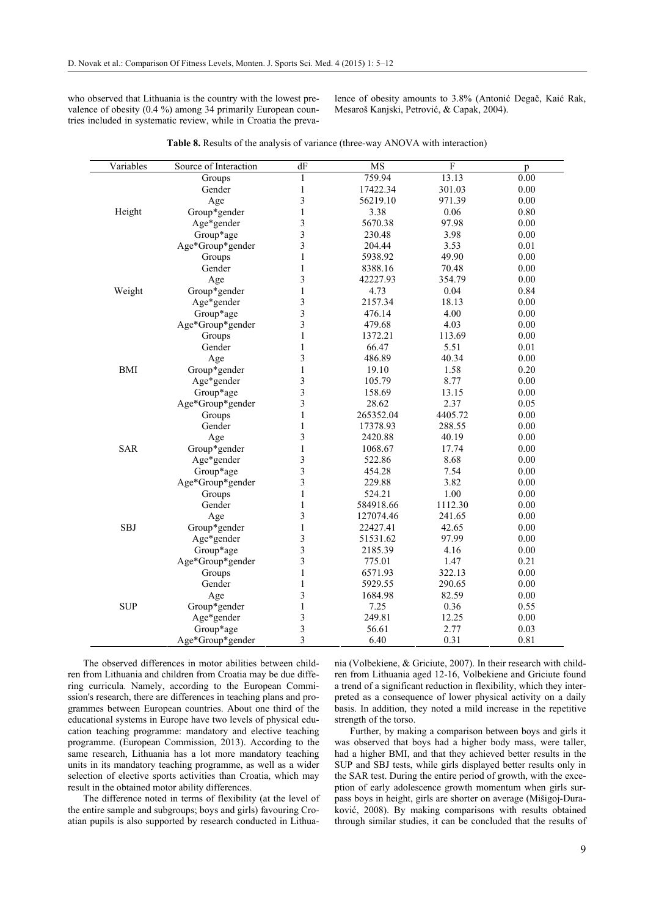who observed that Lithuania is the country with the lowest prevalence of obesity (0.4 %) among 34 primarily European countries included in systematic review, while in Croatia the prevalence of obesity amounts to 3.8% (Antonić Degač, Kaić Rak, Mesaroš Kanjski, Petrović, & Capak, 2004).

| Variables  | Source of Interaction | dF                      | $\overline{\text{MS}}$ | $\mathbf{F}$ | p    |
|------------|-----------------------|-------------------------|------------------------|--------------|------|
|            | Groups                | 1                       | 759.94                 | 13.13        | 0.00 |
|            | Gender                | $\mathbf{1}$            | 17422.34               | 301.03       | 0.00 |
|            | Age                   | 3                       | 56219.10               | 971.39       | 0.00 |
| Height     | Group*gender          | $\mathbf{1}$            | 3.38                   | 0.06         | 0.80 |
|            | Age*gender            | 3                       | 5670.38                | 97.98        | 0.00 |
|            | Group*age             | $\overline{\mathbf{3}}$ | 230.48                 | 3.98         | 0.00 |
|            | Age*Group*gender      | 3                       | 204.44                 | 3.53         | 0.01 |
|            | Groups                | $\mathbf{1}$            | 5938.92                | 49.90        | 0.00 |
|            | Gender                | 1                       | 8388.16                | 70.48        | 0.00 |
|            | Age                   | 3                       | 42227.93               | 354.79       | 0.00 |
| Weight     | Group*gender          | $\mathbf{1}$            | 4.73                   | 0.04         | 0.84 |
|            | Age*gender            | 3                       | 2157.34                | 18.13        | 0.00 |
|            | Group*age             | $\overline{3}$          | 476.14                 | 4.00         | 0.00 |
|            | Age*Group*gender      | 3                       | 479.68                 | 4.03         | 0.00 |
|            | Groups                | $\mathbf{1}$            | 1372.21                | 113.69       | 0.00 |
|            | Gender                | $\mathbf{1}$            | 66.47                  | 5.51         | 0.01 |
|            | Age                   | 3                       | 486.89                 | 40.34        | 0.00 |
| <b>BMI</b> | Group*gender          | $\mathbf{1}$            | 19.10                  | 1.58         | 0.20 |
|            | Age*gender            | 3                       | 105.79                 | 8.77         | 0.00 |
|            | Group*age             | 3                       | 158.69                 | 13.15        | 0.00 |
|            | Age*Group*gender      | 3                       | 28.62                  | 2.37         | 0.05 |
|            | Groups                | $\mathbf{1}$            | 265352.04              | 4405.72      | 0.00 |
|            | Gender                | $\,1$                   | 17378.93               | 288.55       | 0.00 |
|            | Age                   | 3                       | 2420.88                | 40.19        | 0.00 |
| <b>SAR</b> | Group*gender          | 1                       | 1068.67                | 17.74        | 0.00 |
|            | Age*gender            | 3                       | 522.86                 | 8.68         | 0.00 |
|            | Group*age             | 3                       | 454.28                 | 7.54         | 0.00 |
|            | Age*Group*gender      | 3                       | 229.88                 | 3.82         | 0.00 |
|            | Groups                | 1                       | 524.21                 | 1.00         | 0.00 |
|            | Gender                | $\,1$                   | 584918.66              | 1112.30      | 0.00 |
|            | Age                   | 3                       | 127074.46              | 241.65       | 0.00 |
| <b>SBJ</b> | Group*gender          | $\mathbf{1}$            | 22427.41               | 42.65        | 0.00 |
|            | Age*gender            | 3                       | 51531.62               | 97.99        | 0.00 |
|            | Group*age             | 3                       | 2185.39                | 4.16         | 0.00 |
|            | Age*Group*gender      | 3                       | 775.01                 | 1.47         | 0.21 |
|            | Groups                | 1                       | 6571.93                | 322.13       | 0.00 |
|            | Gender                | $\mathbf{1}$            | 5929.55                | 290.65       | 0.00 |
|            | Age                   | 3                       | 1684.98                | 82.59        | 0.00 |
| <b>SUP</b> | Group*gender          | $\mathbf{1}$            | 7.25                   | 0.36         | 0.55 |
|            | Age*gender            | 3                       | 249.81                 | 12.25        | 0.00 |
|            | Group*age             | 3                       | 56.61                  | 2.77         | 0.03 |
|            | Age*Group*gender      | 3                       | 6.40                   | 0.31         | 0.81 |

**Table 8.** Results of the analysis of variance (three-way ANOVA with interaction)

The observed differences in motor abilities between children from Lithuania and children from Croatia may be due differing curricula. Namely, according to the European Commission's research, there are differences in teaching plans and programmes between European countries. About one third of the educational systems in Europe have two levels of physical education teaching programme: mandatory and elective teaching programme. (European Commission, 2013). According to the same research, Lithuania has a lot more mandatory teaching units in its mandatory teaching programme, as well as a wider selection of elective sports activities than Croatia, which may result in the obtained motor ability differences.

The difference noted in terms of flexibility (at the level of the entire sample and subgroups; boys and girls) favouring Croatian pupils is also supported by research conducted in Lithuania (Volbekiene, & Griciute, 2007). In their research with children from Lithuania aged 12-16, Volbekiene and Griciute found a trend of a significant reduction in flexibility, which they interpreted as a consequence of lower physical activity on a daily basis. In addition, they noted a mild increase in the repetitive strength of the torso.

Further, by making a comparison between boys and girls it was observed that boys had a higher body mass, were taller, had a higher BMI, and that they achieved better results in the SUP and SBJ tests, while girls displayed better results only in the SAR test. During the entire period of growth, with the exception of early adolescence growth momentum when girls surpass boys in height, girls are shorter on average (Mišigoj-Duraković, 2008). By making comparisons with results obtained through similar studies, it can be concluded that the results of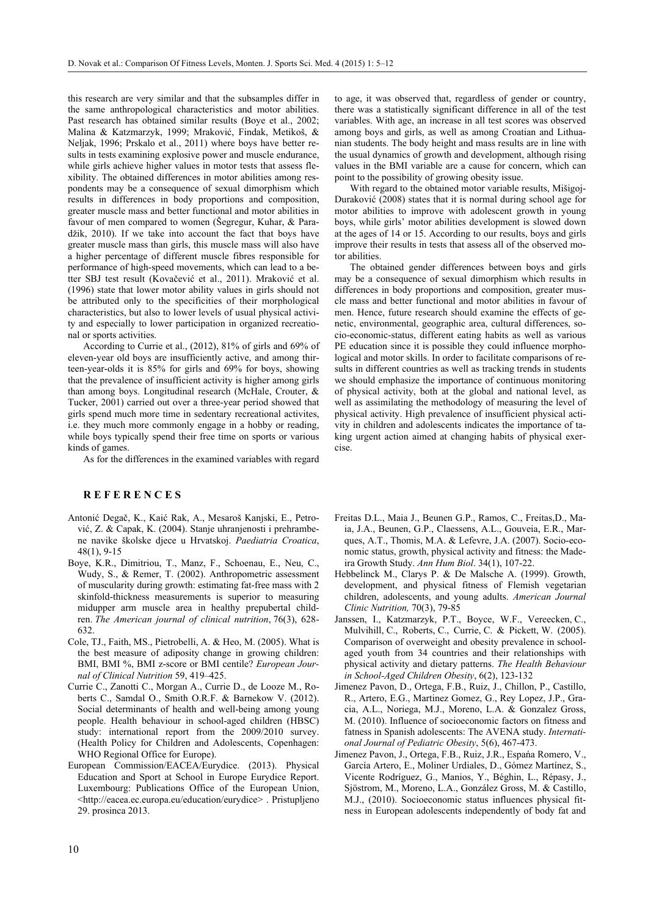this research are very similar and that the subsamples differ in the same anthropological characteristics and motor abilities. Past research has obtained similar results (Boye et al., 2002; Malina & Katzmarzyk, 1999; Mraković, Findak, Metikoš, & Neljak, 1996; Prskalo et al., 2011) where boys have better results in tests examining explosive power and muscle endurance, while girls achieve higher values in motor tests that assess flexibility. The obtained differences in motor abilities among respondents may be a consequence of sexual dimorphism which results in differences in body proportions and composition, greater muscle mass and better functional and motor abilities in favour of men compared to women (Šegregur, Kuhar, & Paradžik, 2010). If we take into account the fact that boys have greater muscle mass than girls, this muscle mass will also have a higher percentage of different muscle fibres responsible for performance of high-speed movements, which can lead to a better SBJ test result (Kovačević et al., 2011). Mraković et al. (1996) state that lower motor ability values in girls should not be attributed only to the specificities of their morphological characteristics, but also to lower levels of usual physical activity and especially to lower participation in organized recreational or sports activities.

According to Currie et al., (2012), 81% of girls and 69% of eleven-year old boys are insufficiently active, and among thirteen-year-olds it is 85% for girls and 69% for boys, showing that the prevalence of insufficient activity is higher among girls than among boys. Longitudinal research (McHale, Crouter, & Tucker, 2001) carried out over a three-year period showed that girls spend much more time in sedentary recreational activites, i.e. they much more commonly engage in a hobby or reading, while boys typically spend their free time on sports or various kinds of games.

As for the differences in the examined variables with regard

# **R E F E R E N C E S**

- Antonić Degač, K., Kaić Rak, A., Mesaroš Kanjski, E., Petrović, Z. & Capak, K. (2004). Stanje uhranjenosti i prehrambene navike školske djece u Hrvatskoj. *Paediatria Croatica*, 48(1), 9-15
- Boye, K.R., Dimitriou, T., Manz, F., Schoenau, E., Neu, C., Wudy, S., & Remer, T. (2002). Anthropometric assessment of muscularity during growth: estimating fat-free mass with 2 skinfold-thickness measurements is superior to measuring midupper arm muscle area in healthy prepubertal children. *The American journal of clinical nutrition*, 76(3), 628- 632.
- Cole, TJ., Faith, MS., Pietrobelli, A. & Heo, M. (2005). What is the best measure of adiposity change in growing children: BMI, BMI %, BMI z-score or BMI centile? *European Journal of Clinical Nutrition* 59, 419–425.
- Currie C., Zanotti C., Morgan A., Currie D., de Looze M., Roberts C., Samdal O., Smith O.R.F. & Barnekow V. (2012). Social determinants of health and well-being among young people. Health behaviour in school-aged children (HBSC) study: international report from the 2009/2010 survey. (Health Policy for Children and Adolescents, Copenhagen: WHO Regional Office for Europe).
- European Commission/EACEA/Eurydice. (2013). Physical Education and Sport at School in Europe Eurydice Report. Luxembourg: Publications Office of the European Union, <http://eacea.ec.europa.eu/education/eurydice> . Pristupljeno 29. prosinca 2013.

to age, it was observed that, regardless of gender or country, there was a statistically significant difference in all of the test variables. With age, an increase in all test scores was observed among boys and girls, as well as among Croatian and Lithuanian students. The body height and mass results are in line with the usual dynamics of growth and development, although rising values in the BMI variable are a cause for concern, which can point to the possibility of growing obesity issue.

With regard to the obtained motor variable results, Mišigoj-Duraković (2008) states that it is normal during school age for motor abilities to improve with adolescent growth in young boys, while girls' motor abilities development is slowed down at the ages of 14 or 15. According to our results, boys and girls improve their results in tests that assess all of the observed motor abilities.

The obtained gender differences between boys and girls may be a consequence of sexual dimorphism which results in differences in body proportions and composition, greater muscle mass and better functional and motor abilities in favour of men. Hence, future research should examine the effects of genetic, environmental, geographic area, cultural differences, socio-economic-status, different eating habits as well as various PE education since it is possible they could influence morphological and motor skills. In order to facilitate comparisons of results in different countries as well as tracking trends in students we should emphasize the importance of continuous monitoring of physical activity, both at the global and national level, as well as assimilating the methodology of measuring the level of physical activity. High prevalence of insufficient physical activity in children and adolescents indicates the importance of taking urgent action aimed at changing habits of physical exercise.

- Freitas D.L., Maia J., Beunen G.P., Ramos, C., Freitas,D., Maia, J.A., Beunen, G.P., Claessens, A.L., Gouveia, E.R., Marques, A.T., Thomis, M.A. & Lefevre, J.A. (2007). Socio-economic status, growth, physical activity and fitness: the Madeira Growth Study. *Ann Hum Biol*. 34(1), 107-22.
- Hebbelinck M., Clarys P. & De Malsche A. (1999). Growth, development, and physical fitness of Flemish vegetarian children, adolescents, and young adults. *American Journal Clinic Nutrition,* 70(3), 79-85
- Janssen, I., Katzmarzyk, P.T., Boyce, W.F., Vereecken, C., Mulvihill, C., Roberts, C., Currie, C. & Pickett, W. (2005). Comparison of overweight and obesity prevalence in schoolaged youth from 34 countries and their relationships with physical activity and dietary patterns. *The Health Behaviour in School-Aged Children Obesity*, 6(2), 123-132
- Jimenez Pavon, D., Ortega, F.B., Ruiz, J., Chillon, P., Castillo, R., Artero, E.G., Martinez Gomez, G., Rey Lopez, J.P., Gracia, A.L., Noriega, M.J., Moreno, L.A. & Gonzalez Gross, M. (2010). Influence of socioeconomic factors on fitness and fatness in Spanish adolescents: The AVENA study. *International Journal of Pediatric Obesity*, 5(6), 467-473.
- Jimenez Pavon, J., Ortega, F.B., Ruiz, J.R., Espańa Romero, V., García Artero, E., Moliner Urdiales, D., Gómez Martínez, S., Vicente Rodríguez, G., Manios, Y., Béghin, L., Répasy, J., Sjöstrom, M., Moreno, L.A., González Gross, M. & Castillo, M.J., (2010). Socioeconomic status influences physical fitness in European adolescents independently of body fat and